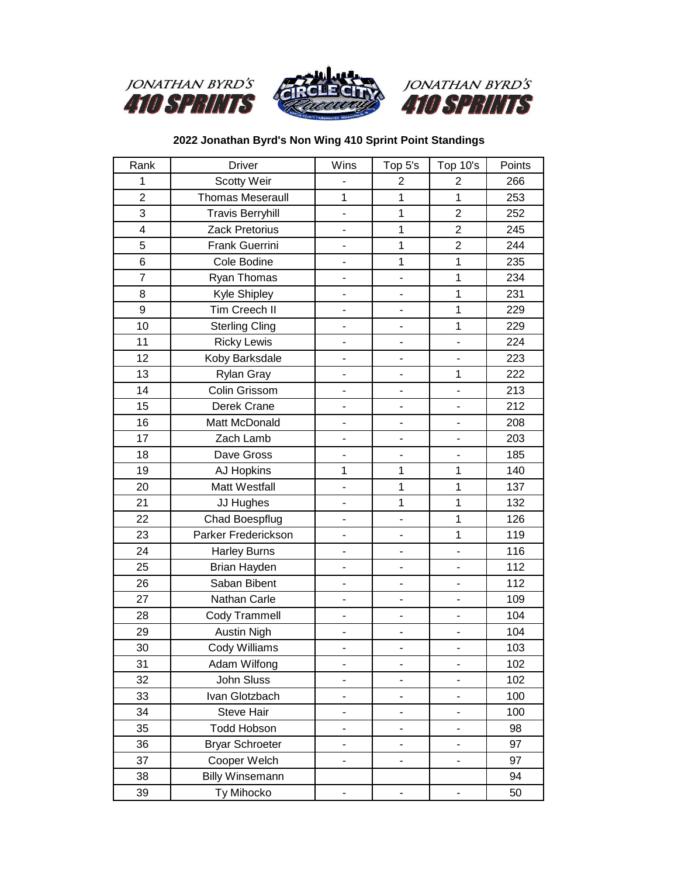





## **2022 Jonathan Byrd's Non Wing 410 Sprint Point Standings**

| Rank             | <b>Driver</b>           | Wins                         | Top 5's                      | Top 10's                     | Points |
|------------------|-------------------------|------------------------------|------------------------------|------------------------------|--------|
| 1                | Scotty Weir             |                              | $\overline{2}$               | $\overline{2}$               | 266    |
| $\overline{2}$   | <b>Thomas Meseraull</b> | $\mathbf{1}$                 | $\mathbf{1}$                 | $\mathbf{1}$                 | 253    |
| 3                | <b>Travis Berryhill</b> |                              | 1                            | $\overline{2}$               | 252    |
| 4                | Zack Pretorius          | $\overline{a}$               | $\mathbf 1$                  | $\overline{2}$               | 245    |
| 5                | Frank Guerrini          | $\overline{\phantom{a}}$     | $\mathbf{1}$                 | $\overline{2}$               | 244    |
| 6                | Cole Bodine             | -                            | $\mathbf{1}$                 | $\mathbf{1}$                 | 235    |
| $\overline{7}$   | Ryan Thomas             | $\overline{\phantom{0}}$     | $\overline{a}$               | $\mathbf 1$                  | 234    |
| 8                | Kyle Shipley            | $\overline{a}$               |                              | $\mathbf 1$                  | 231    |
| $\boldsymbol{9}$ | Tim Creech II           | $\qquad \qquad \blacksquare$ |                              | 1                            | 229    |
| 10               | <b>Sterling Cling</b>   |                              |                              | 1                            | 229    |
| 11               | <b>Ricky Lewis</b>      | $\frac{1}{2}$                | $\blacksquare$               | $\blacksquare$               | 224    |
| 12               | Koby Barksdale          | $\overline{\phantom{0}}$     | $\overline{a}$               | $\overline{\phantom{a}}$     | 223    |
| 13               | Rylan Gray              |                              |                              | $\mathbf{1}$                 | 222    |
| 14               | Colin Grissom           | $\overline{\phantom{a}}$     | ä,                           | $\overline{a}$               | 213    |
| 15               | Derek Crane             | $\overline{\phantom{0}}$     |                              | $\overline{a}$               | 212    |
| 16               | Matt McDonald           | $\overline{\phantom{a}}$     | 4                            | $\qquad \qquad \blacksquare$ | 208    |
| 17               | Zach Lamb               | $\overline{a}$               | ÷,                           | ÷.                           | 203    |
| 18               | Dave Gross              | $\overline{\phantom{0}}$     |                              | $\blacksquare$               | 185    |
| 19               | <b>AJ Hopkins</b>       | 1                            | $\mathbf{1}$                 | $\mathbf{1}$                 | 140    |
| 20               | Matt Westfall           | $\qquad \qquad \blacksquare$ | $\mathbf{1}$                 | 1                            | 137    |
| 21               | JJ Hughes               | $\blacksquare$               | $\mathbf{1}$                 | $\mathbf 1$                  | 132    |
| 22               | <b>Chad Boespflug</b>   | $\overline{a}$               |                              | 1                            | 126    |
| 23               | Parker Frederickson     | $\overline{a}$               |                              | $\mathbf 1$                  | 119    |
| 24               | <b>Harley Burns</b>     | $\overline{\phantom{a}}$     |                              | $\overline{\phantom{a}}$     | 116    |
| 25               | Brian Hayden            | -                            | $\qquad \qquad \blacksquare$ | $\overline{\phantom{0}}$     | 112    |
| 26               | Saban Bibent            | $\overline{\phantom{0}}$     | ä,                           | $\overline{\phantom{a}}$     | 112    |
| 27               | Nathan Carle            | $\overline{a}$               | $\overline{a}$               | ÷,                           | 109    |
| 28               | Cody Trammell           | $\overline{\phantom{0}}$     |                              | $\overline{\phantom{0}}$     | 104    |
| 29               | <b>Austin Nigh</b>      | $\overline{\phantom{a}}$     |                              | $\overline{a}$               | 104    |
| 30               | Cody Williams           | $\overline{\phantom{a}}$     | ÷,                           | $\overline{\phantom{a}}$     | 103    |
| 31               | Adam Wilfong            |                              | $\overline{a}$               | $\overline{\phantom{a}}$     | 102    |
| 32               | John Sluss              | -                            |                              |                              | 102    |
| 33               | Ivan Glotzbach          | $\blacksquare$               | $\frac{1}{2}$                | $\blacksquare$               | 100    |
| 34               | Steve Hair              | $\overline{\phantom{a}}$     |                              | ä,                           | 100    |
| 35               | <b>Todd Hobson</b>      | -                            | -                            | $\qquad \qquad \blacksquare$ | 98     |
| 36               | <b>Bryar Schroeter</b>  | $\overline{\phantom{0}}$     |                              |                              | 97     |
| 37               | Cooper Welch            | $\overline{\phantom{0}}$     |                              | $\overline{\phantom{a}}$     | 97     |
| 38               | <b>Billy Winsemann</b>  |                              |                              |                              | 94     |
| 39               | Ty Mihocko              | $\overline{a}$               |                              |                              | 50     |